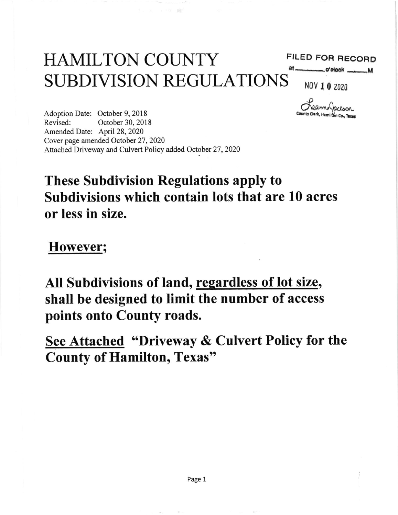# HAMILTON COUNTY SUBDIVISION REGULATIONS NOV 1 0 2020

### FILED FOR RECORD

at \_\_\_\_\_\_\_\_\_ o'clock \_

Dearmo Jackson County Clerk, Hamilton Co., Texas

Adoption Date: October 9, 2018 Revised: October 30,2018 Amended Date: April 28, 2020 Cover page amended October 27,2020 Attached Driveway and Culvert Policy added October 27,2020

# These Subdivision Regulations apply to Subdivisions which contain lots that are 10 acres or less in size.

However;

All Subdivisions of land, regardless of lot size, shall be designed to limit the number of access points onto County roads.

See Attached "Driveway & Culvert Policy for the County of Hamilton, Texas"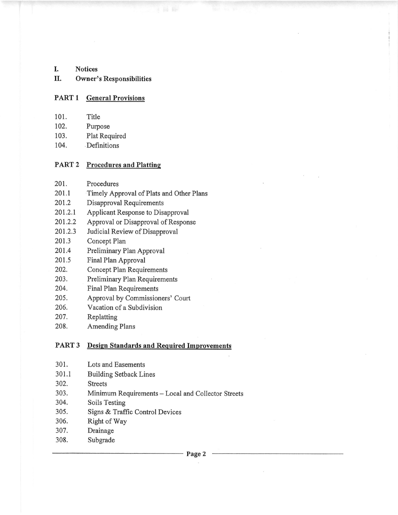L Notices

#### II. Owner's Responsibilities

#### PART 1 General Provisions

- 101. Title
- 102. Purpose
- 103. Plat Required
- 104. Definitions

#### PART 2 Procedures and Platting

- 201. Procedures
- 201.1 Timely Approval of Plats and Other Plans
- 201.2 Disapproval Requirements
- 201.2.1 Applicant Response to Disapproval
- 201.2.2 Approval or Disapproval of Response
- 201.2.3 Judicial Review of Disapproval
- 201.3 Concept Plan
- 201.4 Preliminary Plan Approval
- 201.5 Final Plan Approval
- 202. Concept Plan Requirements
- 203. Preliminary Plan Requirements
- 204. Final Plan Requirements
- 205. Approval by Commissioners' Court
- 206. Vacation of a Subdivision
- 207. Replatting
- 208. Amending Plans

#### PART 3 Design Standards and Required Improvements

- 301. Lots and Easements
- 301.1 Building Setback Lines
- 302. Streets
- 303. Minimum Requirements Local and Collector Streets<br>304. Soils Testing
- Soils Testing
- 305. Signs & Traffic Control Devices
- 306. Right of Way
- 307. Drainage
- 308. Subgrade

Page 2